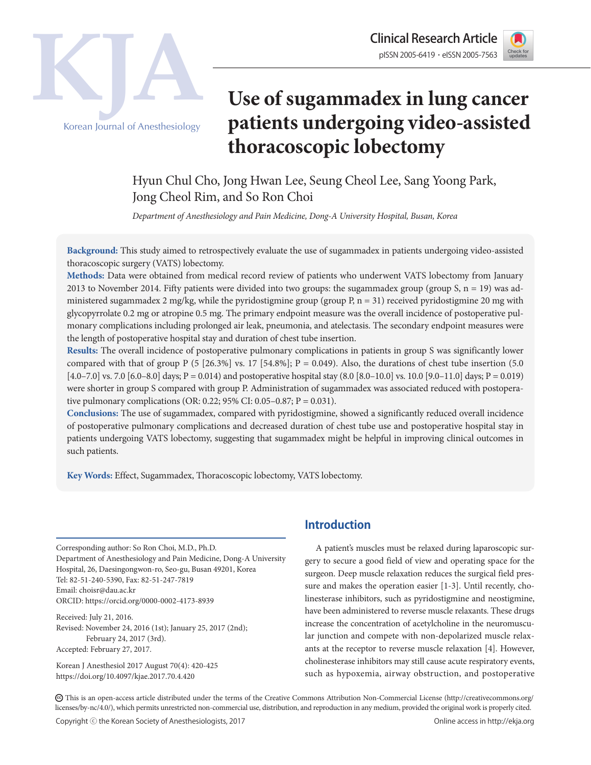

Clinical Research Article Korean Journal of Anesthesiology

# **Use of sugammadex in lung cancer patients undergoing video-assisted thoracoscopic lobectomy**

Hyun Chul Cho, Jong Hwan Lee, Seung Cheol Lee, Sang Yoong Park, Jong Cheol Rim, and So Ron Choi

*Department of Anesthesiology and Pain Medicine, Dong-A University Hospital, Busan, Korea*

**Background:** This study aimed to retrospectively evaluate the use of sugammadex in patients undergoing video-assisted thoracoscopic surgery (VATS) lobectomy.

**Methods:** Data were obtained from medical record review of patients who underwent VATS lobectomy from January 2013 to November 2014. Fifty patients were divided into two groups: the sugammadex group (group  $S$ ,  $n = 19$ ) was administered sugammadex 2 mg/kg, while the pyridostigmine group (group P,  $n = 31$ ) received pyridostigmine 20 mg with glycopyrrolate 0.2 mg or atropine 0.5 mg. The primary endpoint measure was the overall incidence of postoperative pulmonary complications including prolonged air leak, pneumonia, and atelectasis. The secondary endpoint measures were the length of postoperative hospital stay and duration of chest tube insertion.

**Results:** The overall incidence of postoperative pulmonary complications in patients in group S was significantly lower compared with that of group P (5 [26.3%] vs. 17 [54.8%]; P = 0.049). Also, the durations of chest tube insertion (5.0  $[4.0 - 7.0]$  vs. 7.0  $[6.0 - 8.0]$  days; P = 0.014) and postoperative hospital stay  $(8.0 [8.0 - 10.0]$  vs. 10.0  $[9.0 - 11.0]$  days; P = 0.019) were shorter in group S compared with group P. Administration of sugammadex was associated reduced with postoperative pulmonary complications (OR: 0.22; 95% CI: 0.05–0.87; P = 0.031).

**Conclusions:** The use of sugammadex, compared with pyridostigmine, showed a significantly reduced overall incidence of postoperative pulmonary complications and decreased duration of chest tube use and postoperative hospital stay in patients undergoing VATS lobectomy, suggesting that sugammadex might be helpful in improving clinical outcomes in such patients.

**Key Words:** Effect, Sugammadex, Thoracoscopic lobectomy, VATS lobectomy.

Corresponding author: So Ron Choi, M.D., Ph.D. Department of Anesthesiology and Pain Medicine, Dong-A University Hospital, 26, Daesingongwon-ro, Seo-gu, Busan 49201, Korea Tel: 82-51-240-5390, Fax: 82-51-247-7819 Email: choisr@dau.ac.kr ORCID: https://orcid.org/0000-0002-4173-8939

Received: July 21, 2016. Revised: November 24, 2016 (1st); January 25, 2017 (2nd); February 24, 2017 (3rd). Accepted: February 27, 2017.

Korean J Anesthesiol 2017 August 70(4): 420-425 https://doi.org/10.4097/kjae.2017.70.4.420

# **Introduction**

A patient's muscles must be relaxed during laparoscopic surgery to secure a good field of view and operating space for the surgeon. Deep muscle relaxation reduces the surgical field pressure and makes the operation easier [1-3]. Until recently, cholinesterase inhibitors, such as pyridostigmine and neostigmine, have been administered to reverse muscle relaxants. These drugs increase the concentration of acetylcholine in the neuromuscular junction and compete with non-depolarized muscle relaxants at the receptor to reverse muscle relaxation [4]. However, cholinesterase inhibitors may still cause acute respiratory events, such as hypoxemia, airway obstruction, and postoperative

CC This is an open-access article distributed under the terms of the Creative Commons Attribution Non-Commercial License (http://creativecommons.org/ licenses/by-nc/4.0/), which permits unrestricted non-commercial use, distribution, and reproduction in any medium, provided the original work is properly cited.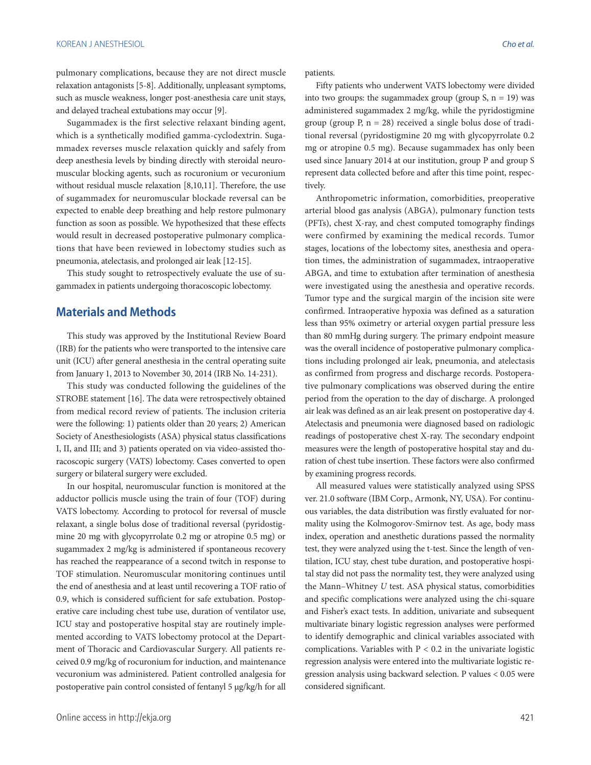pulmonary complications, because they are not direct muscle relaxation antagonists [5-8]. Additionally, unpleasant symptoms, such as muscle weakness, longer post-anesthesia care unit stays, and delayed tracheal extubations may occur [9].

Sugammadex is the first selective relaxant binding agent, which is a synthetically modified gamma-cyclodextrin. Sugammadex reverses muscle relaxation quickly and safely from deep anesthesia levels by binding directly with steroidal neuromuscular blocking agents, such as rocuronium or vecuronium without residual muscle relaxation [8,10,11]. Therefore, the use of sugammadex for neuromuscular blockade reversal can be expected to enable deep breathing and help restore pulmonary function as soon as possible. We hypothesized that these effects would result in decreased postoperative pulmonary complications that have been reviewed in lobectomy studies such as pneumonia, atelectasis, and prolonged air leak [12-15].

This study sought to retrospectively evaluate the use of sugammadex in patients undergoing thoracoscopic lobectomy.

# **Materials and Methods**

This study was approved by the Institutional Review Board (IRB) for the patients who were transported to the intensive care unit (ICU) after general anesthesia in the central operating suite from January 1, 2013 to November 30, 2014 (IRB No. 14-231).

This study was conducted following the guidelines of the STROBE statement [16]. The data were retrospectively obtained from medical record review of patients. The inclusion criteria were the following: 1) patients older than 20 years; 2) American Society of Anesthesiologists (ASA) physical status classifications I, II, and III; and 3) patients operated on via video-assisted thoracoscopic surgery (VATS) lobectomy. Cases converted to open surgery or bilateral surgery were excluded.

In our hospital, neuromuscular function is monitored at the adductor pollicis muscle using the train of four (TOF) during VATS lobectomy. According to protocol for reversal of muscle relaxant, a single bolus dose of traditional reversal (pyridostigmine 20 mg with glycopyrrolate 0.2 mg or atropine 0.5 mg) or sugammadex 2 mg/kg is administered if spontaneous recovery has reached the reappearance of a second twitch in response to TOF stimulation. Neuromuscular monitoring continues until the end of anesthesia and at least until recovering a TOF ratio of 0.9, which is considered sufficient for safe extubation. Postoperative care including chest tube use, duration of ventilator use, ICU stay and postoperative hospital stay are routinely implemented according to VATS lobectomy protocol at the Department of Thoracic and Cardiovascular Surgery. All patients received 0.9 mg/kg of rocuronium for induction, and maintenance vecuronium was administered. Patient controlled analgesia for postoperative pain control consisted of fentanyl 5 μg/kg/h for all patients.

Fifty patients who underwent VATS lobectomy were divided into two groups: the sugammadex group (group  $S$ ,  $n = 19$ ) was administered sugammadex 2 mg/kg, while the pyridostigmine group (group P,  $n = 28$ ) received a single bolus dose of traditional reversal (pyridostigmine 20 mg with glycopyrrolate 0.2 mg or atropine 0.5 mg). Because sugammadex has only been used since January 2014 at our institution, group P and group S represent data collected before and after this time point, respectively.

Anthropometric information, comorbidities, preoperative arterial blood gas analysis (ABGA), pulmonary function tests (PFTs), chest X-ray, and chest computed tomography findings were confirmed by examining the medical records. Tumor stages, locations of the lobectomy sites, anesthesia and operation times, the administration of sugammadex, intraoperative ABGA, and time to extubation after termination of anesthesia were investigated using the anesthesia and operative records. Tumor type and the surgical margin of the incision site were confirmed. Intraoperative hypoxia was defined as a saturation less than 95% oximetry or arterial oxygen partial pressure less than 80 mmHg during surgery. The primary endpoint measure was the overall incidence of postoperative pulmonary complications including prolonged air leak, pneumonia, and atelectasis as confirmed from progress and discharge records. Postoperative pulmonary complications was observed during the entire period from the operation to the day of discharge. A prolonged air leak was defined as an air leak present on postoperative day 4. Atelectasis and pneumonia were diagnosed based on radiologic readings of postoperative chest X-ray. The secondary endpoint measures were the length of postoperative hospital stay and duration of chest tube insertion. These factors were also confirmed by examining progress records.

All measured values were statistically analyzed using SPSS ver. 21.0 software (IBM Corp., Armonk, NY, USA). For continuous variables, the data distribution was firstly evaluated for normality using the Kolmogorov-Smirnov test. As age, body mass index, operation and anesthetic durations passed the normality test, they were analyzed using the t-test. Since the length of ventilation, ICU stay, chest tube duration, and postoperative hospital stay did not pass the normality test, they were analyzed using the Mann–Whitney *U* test. ASA physical status, comorbidities and specific complications were analyzed using the chi-square and Fisher's exact tests. In addition, univariate and subsequent multivariate binary logistic regression analyses were performed to identify demographic and clinical variables associated with complications. Variables with  $P < 0.2$  in the univariate logistic regression analysis were entered into the multivariate logistic regression analysis using backward selection. P values < 0.05 were considered significant.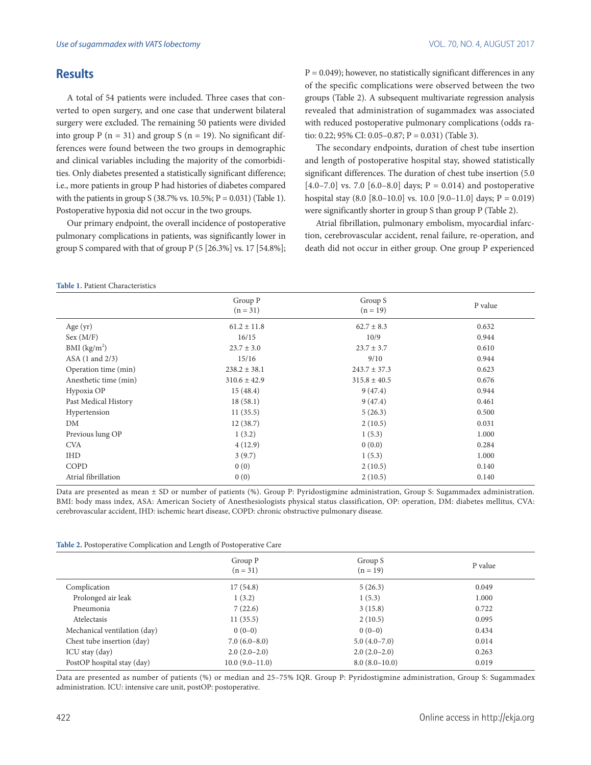#### **Results**

A total of 54 patients were included. Three cases that converted to open surgery, and one case that underwent bilateral surgery were excluded. The remaining 50 patients were divided into group P ( $n = 31$ ) and group S ( $n = 19$ ). No significant differences were found between the two groups in demographic and clinical variables including the majority of the comorbidities. Only diabetes presented a statistically significant difference; i.e., more patients in group P had histories of diabetes compared with the patients in group S (38.7% vs.  $10.5\%$ ; P = 0.031) (Table 1). Postoperative hypoxia did not occur in the two groups.

Our primary endpoint, the overall incidence of postoperative pulmonary complications in patients, was significantly lower in group S compared with that of group P (5 [26.3%] vs. 17 [54.8%];  $P = 0.049$ ; however, no statistically significant differences in any of the specific complications were observed between the two groups (Table 2). A subsequent multivariate regression analysis revealed that administration of sugammadex was associated with reduced postoperative pulmonary complications (odds ratio: 0.22; 95% CI: 0.05–0.87; P = 0.031) (Table 3).

The secondary endpoints, duration of chest tube insertion and length of postoperative hospital stay, showed statistically significant differences. The duration of chest tube insertion (5.0 [4.0–7.0] vs. 7.0 [6.0–8.0] days;  $P = 0.014$ ) and postoperative hospital stay  $(8.0 \, [8.0-10.0] \,$  vs. 10.0  $[9.0-11.0] \,$  days; P = 0.019) were significantly shorter in group S than group P (Table 2).

Atrial fibrillation, pulmonary embolism, myocardial infarction, cerebrovascular accident, renal failure, re-operation, and death did not occur in either group. One group P experienced

|                       | Group P<br>$(n = 31)$ | Group S<br>$(n = 19)$ | P value |
|-----------------------|-----------------------|-----------------------|---------|
| Age (yr)              | $61.2 \pm 11.8$       | $62.7 \pm 8.3$        | 0.632   |
| Sex (M/F)             | 16/15                 | 10/9                  | 0.944   |
| BMI $(kg/m2)$         | $23.7 \pm 3.0$        | $23.7 \pm 3.7$        | 0.610   |
| ASA (1 and 2/3)       | 15/16                 | 9/10                  | 0.944   |
| Operation time (min)  | $238.2 \pm 38.1$      | $243.7 \pm 37.3$      | 0.623   |
| Anesthetic time (min) | $310.6 \pm 42.9$      | $315.8 \pm 40.5$      | 0.676   |
| Hypoxia OP            | 15(48.4)              | 9(47.4)               | 0.944   |
| Past Medical History  | 18(58.1)              | 9(47.4)               | 0.461   |
| Hypertension          | 11(35.5)              | 5(26.3)               | 0.500   |
| DM                    | 12(38.7)              | 2(10.5)               | 0.031   |
| Previous lung OP      | 1(3.2)                | 1(5.3)                | 1.000   |
| <b>CVA</b>            | 4(12.9)               | 0(0.0)                | 0.284   |
| <b>IHD</b>            | 3(9.7)                | 1(5.3)                | 1.000   |
| COPD                  | 0(0)                  | 2(10.5)               | 0.140   |
| Atrial fibrillation   | 0(0)                  | 2(10.5)               | 0.140   |

Data are presented as mean ± SD or number of patients (%). Group P: Pyridostigmine administration, Group S: Sugammadex administration. BMI: body mass index, ASA: American Society of Anesthesiologists physical status classification, OP: operation, DM: diabetes mellitus, CVA: cerebrovascular accident, IHD: ischemic heart disease, COPD: chronic obstructive pulmonary disease.

|  |  | Table 2. Postoperative Complication and Length of Postoperative Care |
|--|--|----------------------------------------------------------------------|
|  |  |                                                                      |

|                              | Group P<br>$(n = 31)$ | Group S<br>$(n = 19)$ | P value |
|------------------------------|-----------------------|-----------------------|---------|
| Complication                 | 17(54.8)              | 5(26.3)               | 0.049   |
| Prolonged air leak           | 1(3.2)                | 1(5.3)                | 1.000   |
| Pneumonia                    | 7(22.6)               | 3(15.8)               | 0.722   |
| Atelectasis                  | 11(35.5)              | 2(10.5)               | 0.095   |
| Mechanical ventilation (day) | $0(0-0)$              | $0(0-0)$              | 0.434   |
| Chest tube insertion (day)   | $7.0(6.0-8.0)$        | $5.0(4.0-7.0)$        | 0.014   |
| ICU stay (day)               | $2.0(2.0-2.0)$        | $2.0(2.0-2.0)$        | 0.263   |
| PostOP hospital stay (day)   | $10.0(9.0-11.0)$      | $8.0(8.0-10.0)$       | 0.019   |

Data are presented as number of patients (%) or median and 25–75% IQR. Group P: Pyridostigmine administration, Group S: Sugammadex administration. ICU: intensive care unit, postOP: postoperative.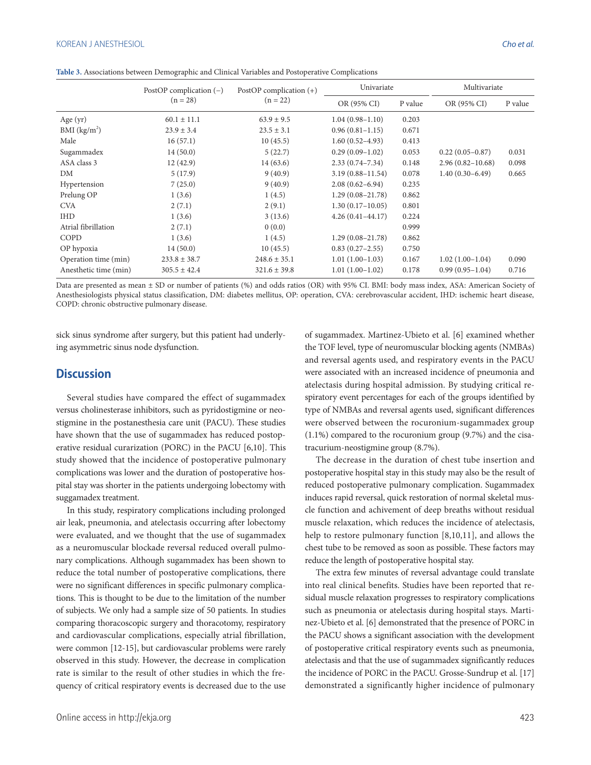**Table 3.** Associations between Demographic and Clinical Variables and Postoperative Complications

|                          | PostOP complication $(-)$<br>$(n = 28)$ | PostOP complication $(+)$<br>$(n = 22)$ | Univariate           |         | Multivariate         |         |
|--------------------------|-----------------------------------------|-----------------------------------------|----------------------|---------|----------------------|---------|
|                          |                                         |                                         | OR (95% CI)          | P value | OR (95% CI)          | P value |
| Age $(yr)$               | $60.1 \pm 11.1$                         | $63.9 \pm 9.5$                          | $1.04(0.98-1.10)$    | 0.203   |                      |         |
| BMI (kg/m <sup>2</sup> ) | $23.9 \pm 3.4$                          | $23.5 \pm 3.1$                          | $0.96(0.81-1.15)$    | 0.671   |                      |         |
| Male                     | 16(57.1)                                | 10(45.5)                                | $1.60(0.52 - 4.93)$  | 0.413   |                      |         |
| Sugammadex               | 14(50.0)                                | 5(22.7)                                 | $0.29(0.09-1.02)$    | 0.053   | $0.22(0.05-0.87)$    | 0.031   |
| ASA class 3              | 12(42.9)                                | 14 (63.6)                               | $2.33(0.74 - 7.34)$  | 0.148   | $2.96(0.82 - 10.68)$ | 0.098   |
| DM                       | 5(17.9)                                 | 9(40.9)                                 | $3.19(0.88 - 11.54)$ | 0.078   | $1.40(0.30-6.49)$    | 0.665   |
| Hypertension             | 7(25.0)                                 | 9(40.9)                                 | $2.08(0.62 - 6.94)$  | 0.235   |                      |         |
| Prelung OP               | 1(3.6)                                  | 1(4.5)                                  | $1.29(0.08-21.78)$   | 0.862   |                      |         |
| <b>CVA</b>               | 2(7.1)                                  | 2(9.1)                                  | $1.30(0.17-10.05)$   | 0.801   |                      |         |
| <b>IHD</b>               | 1(3.6)                                  | 3(13.6)                                 | $4.26(0.41 - 44.17)$ | 0.224   |                      |         |
| Atrial fibrillation      | 2(7.1)                                  | 0(0.0)                                  |                      | 0.999   |                      |         |
| COPD                     | 1(3.6)                                  | 1(4.5)                                  | $1.29(0.08-21.78)$   | 0.862   |                      |         |
| OP hypoxia               | 14(50.0)                                | 10(45.5)                                | $0.83(0.27-2.55)$    | 0.750   |                      |         |
| Operation time (min)     | $233.8 \pm 38.7$                        | $248.6 \pm 35.1$                        | $1.01(1.00-1.03)$    | 0.167   | $1.02(1.00-1.04)$    | 0.090   |
| Anesthetic time (min)    | $305.5 \pm 42.4$                        | $321.6 \pm 39.8$                        | $1.01(1.00-1.02)$    | 0.178   | $0.99(0.95-1.04)$    | 0.716   |

Data are presented as mean ± SD or number of patients (%) and odds ratios (OR) with 95% CI. BMI: body mass index, ASA: American Society of Anesthesiologists physical status classification, DM: diabetes mellitus, OP: operation, CVA: cerebrovascular accident, IHD: ischemic heart disease, COPD: chronic obstructive pulmonary disease.

sick sinus syndrome after surgery, but this patient had underlying asymmetric sinus node dysfunction.

#### **Discussion**

Several studies have compared the effect of sugammadex versus cholinesterase inhibitors, such as pyridostigmine or neostigmine in the postanesthesia care unit (PACU). These studies have shown that the use of sugammadex has reduced postoperative residual curarization (PORC) in the PACU [6,10]. This study showed that the incidence of postoperative pulmonary complications was lower and the duration of postoperative hospital stay was shorter in the patients undergoing lobectomy with suggamadex treatment.

In this study, respiratory complications including prolonged air leak, pneumonia, and atelectasis occurring after lobectomy were evaluated, and we thought that the use of sugammadex as a neuromuscular blockade reversal reduced overall pulmonary complications. Although sugammadex has been shown to reduce the total number of postoperative complications, there were no significant differences in specific pulmonary complications. This is thought to be due to the limitation of the number of subjects. We only had a sample size of 50 patients. In studies comparing thoracoscopic surgery and thoracotomy, respiratory and cardiovascular complications, especially atrial fibrillation, were common [12-15], but cardiovascular problems were rarely observed in this study. However, the decrease in complication rate is similar to the result of other studies in which the frequency of critical respiratory events is decreased due to the use of sugammadex. Martinez-Ubieto et al. [6] examined whether the TOF level, type of neuromuscular blocking agents (NMBAs) and reversal agents used, and respiratory events in the PACU were associated with an increased incidence of pneumonia and atelectasis during hospital admission. By studying critical respiratory event percentages for each of the groups identified by type of NMBAs and reversal agents used, significant differences were observed between the rocuronium-sugammadex group (1.1%) compared to the rocuronium group (9.7%) and the cisatracurium-neostigmine group (8.7%).

The decrease in the duration of chest tube insertion and postoperative hospital stay in this study may also be the result of reduced postoperative pulmonary complication. Sugammadex induces rapid reversal, quick restoration of normal skeletal muscle function and achivement of deep breaths without residual muscle relaxation, which reduces the incidence of atelectasis, help to restore pulmonary function [8,10,11], and allows the chest tube to be removed as soon as possible. These factors may reduce the length of postoperative hospital stay.

The extra few minutes of reversal advantage could translate into real clinical benefits. Studies have been reported that residual muscle relaxation progresses to respiratory complications such as pneumonia or atelectasis during hospital stays. Martinez-Ubieto et al. [6] demonstrated that the presence of PORC in the PACU shows a significant association with the development of postoperative critical respiratory events such as pneumonia, atelectasis and that the use of sugammadex significantly reduces the incidence of PORC in the PACU. Grosse-Sundrup et al. [17] demonstrated a significantly higher incidence of pulmonary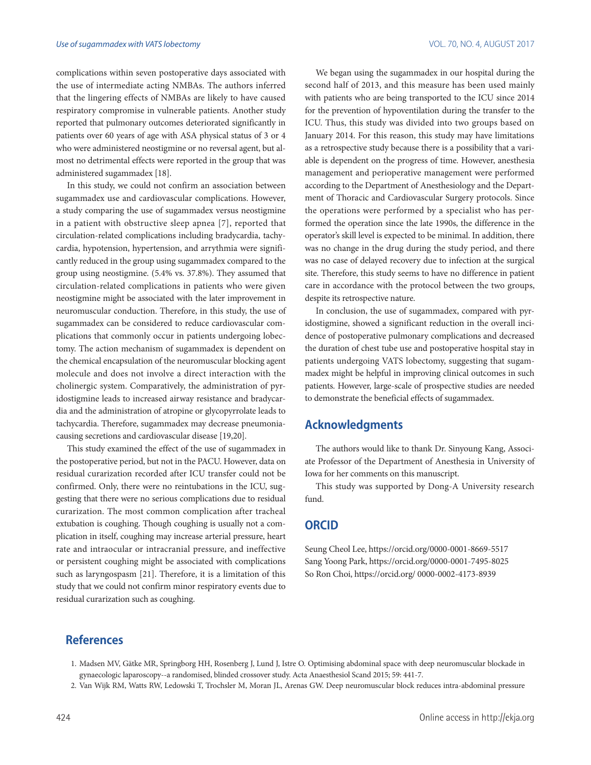complications within seven postoperative days associated with the use of intermediate acting NMBAs. The authors inferred that the lingering effects of NMBAs are likely to have caused respiratory compromise in vulnerable patients. Another study reported that pulmonary outcomes deteriorated significantly in patients over 60 years of age with ASA physical status of 3 or 4 who were administered neostigmine or no reversal agent, but almost no detrimental effects were reported in the group that was administered sugammadex [18].

In this study, we could not confirm an association between sugammadex use and cardiovascular complications. However, a study comparing the use of sugammadex versus neostigmine in a patient with obstructive sleep apnea [7], reported that circulation-related complications including bradycardia, tachycardia, hypotension, hypertension, and arrythmia were significantly reduced in the group using sugammadex compared to the group using neostigmine. (5.4% vs. 37.8%). They assumed that circulation-related complications in patients who were given neostigmine might be associated with the later improvement in neuromuscular conduction. Therefore, in this study, the use of sugammadex can be considered to reduce cardiovascular complications that commonly occur in patients undergoing lobectomy. The action mechanism of sugammadex is dependent on the chemical encapsulation of the neuromuscular blocking agent molecule and does not involve a direct interaction with the cholinergic system. Comparatively, the administration of pyridostigmine leads to increased airway resistance and bradycardia and the administration of atropine or glycopyrrolate leads to tachycardia. Therefore, sugammadex may decrease pneumoniacausing secretions and cardiovascular disease [19,20].

This study examined the effect of the use of sugammadex in the postoperative period, but not in the PACU. However, data on residual curarization recorded after ICU transfer could not be confirmed. Only, there were no reintubations in the ICU, suggesting that there were no serious complications due to residual curarization. The most common complication after tracheal extubation is coughing. Though coughing is usually not a complication in itself, coughing may increase arterial pressure, heart rate and intraocular or intracranial pressure, and ineffective or persistent coughing might be associated with complications such as laryngospasm [21]. Therefore, it is a limitation of this study that we could not confirm minor respiratory events due to residual curarization such as coughing.

We began using the sugammadex in our hospital during the second half of 2013, and this measure has been used mainly with patients who are being transported to the ICU since 2014 for the prevention of hypoventilation during the transfer to the ICU. Thus, this study was divided into two groups based on January 2014. For this reason, this study may have limitations as a retrospective study because there is a possibility that a variable is dependent on the progress of time. However, anesthesia management and perioperative management were performed according to the Department of Anesthesiology and the Department of Thoracic and Cardiovascular Surgery protocols. Since the operations were performed by a specialist who has performed the operation since the late 1990s, the difference in the operator's skill level is expected to be minimal. In addition, there was no change in the drug during the study period, and there was no case of delayed recovery due to infection at the surgical site. Therefore, this study seems to have no difference in patient care in accordance with the protocol between the two groups, despite its retrospective nature.

In conclusion, the use of sugammadex, compared with pyridostigmine, showed a significant reduction in the overall incidence of postoperative pulmonary complications and decreased the duration of chest tube use and postoperative hospital stay in patients undergoing VATS lobectomy, suggesting that sugammadex might be helpful in improving clinical outcomes in such patients. However, large-scale of prospective studies are needed to demonstrate the beneficial effects of sugammadex.

### **Acknowledgments**

The authors would like to thank Dr. Sinyoung Kang, Associate Professor of the Department of Anesthesia in University of Iowa for her comments on this manuscript.

This study was supported by Dong-A University research fund.

#### **ORCID**

Seung Cheol Lee, https://orcid.org/0000-0001-8669-5517 Sang Yoong Park, https://orcid.org/0000-0001-7495-8025 So Ron Choi, https://orcid.org/ 0000-0002-4173-8939

# **References**

- 1. Madsen MV, Gätke MR, Springborg HH, Rosenberg J, Lund J, Istre O. Optimising abdominal space with deep neuromuscular blockade in gynaecologic laparoscopy--a randomised, blinded crossover study. Acta Anaesthesiol Scand 2015; 59: 441-7.
- 2. Van Wijk RM, Watts RW, Ledowski T, Trochsler M, Moran JL, Arenas GW. Deep neuromuscular block reduces intra-abdominal pressure